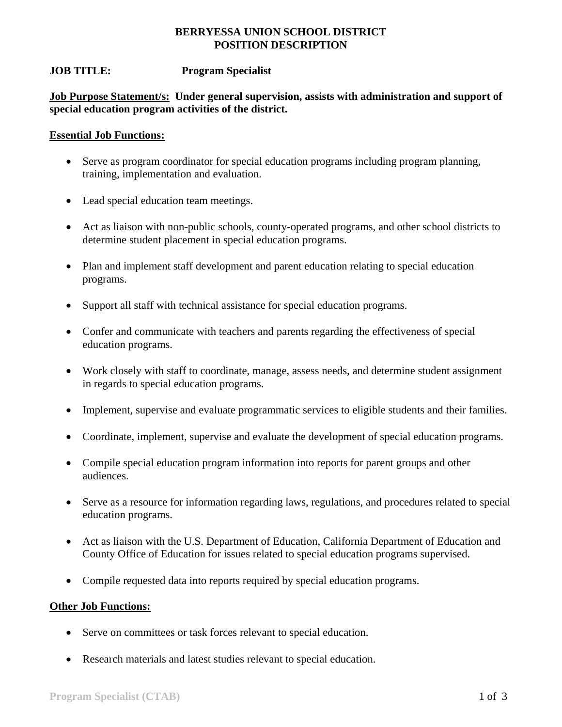### **BERRYESSA UNION SCHOOL DISTRICT POSITION DESCRIPTION**

# **JOB TITLE: Program Specialist**

**Job Purpose Statement/s: Under general supervision, assists with administration and support of special education program activities of the district.** 

#### **Essential Job Functions:**

- Serve as program coordinator for special education programs including program planning, training, implementation and evaluation.
- Lead special education team meetings.
- Act as liaison with non-public schools, county-operated programs, and other school districts to determine student placement in special education programs.
- Plan and implement staff development and parent education relating to special education programs.
- Support all staff with technical assistance for special education programs.
- Confer and communicate with teachers and parents regarding the effectiveness of special education programs.
- Work closely with staff to coordinate, manage, assess needs, and determine student assignment in regards to special education programs.
- Implement, supervise and evaluate programmatic services to eligible students and their families.
- Coordinate, implement, supervise and evaluate the development of special education programs.
- Compile special education program information into reports for parent groups and other audiences.
- Serve as a resource for information regarding laws, regulations, and procedures related to special education programs.
- Act as liaison with the U.S. Department of Education, California Department of Education and County Office of Education for issues related to special education programs supervised.
- Compile requested data into reports required by special education programs.

# **Other Job Functions:**

- Serve on committees or task forces relevant to special education.
- Research materials and latest studies relevant to special education.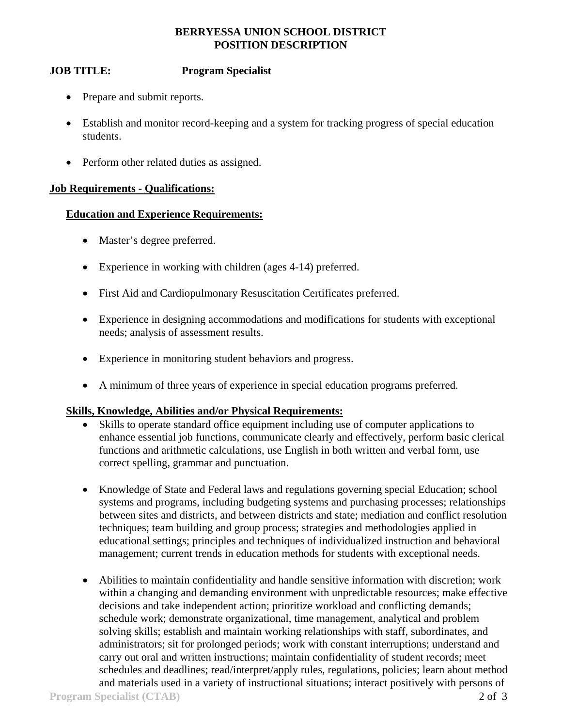### **BERRYESSA UNION SCHOOL DISTRICT POSITION DESCRIPTION**

# **JOB TITLE: Program Specialist**

- Prepare and submit reports.
- Establish and monitor record-keeping and a system for tracking progress of special education students.
- Perform other related duties as assigned.

#### **Job Requirements - Qualifications:**

#### **Education and Experience Requirements:**

- Master's degree preferred.
- Experience in working with children (ages 4-14) preferred.
- First Aid and Cardiopulmonary Resuscitation Certificates preferred.
- Experience in designing accommodations and modifications for students with exceptional needs; analysis of assessment results.
- Experience in monitoring student behaviors and progress.
- A minimum of three years of experience in special education programs preferred.

# **Skills, Knowledge, Abilities and/or Physical Requirements:**

- Skills to operate standard office equipment including use of computer applications to enhance essential job functions, communicate clearly and effectively, perform basic clerical functions and arithmetic calculations, use English in both written and verbal form, use correct spelling, grammar and punctuation.
- Knowledge of State and Federal laws and regulations governing special Education; school systems and programs, including budgeting systems and purchasing processes; relationships between sites and districts, and between districts and state; mediation and conflict resolution techniques; team building and group process; strategies and methodologies applied in educational settings; principles and techniques of individualized instruction and behavioral management; current trends in education methods for students with exceptional needs.
- Abilities to maintain confidentiality and handle sensitive information with discretion; work within a changing and demanding environment with unpredictable resources; make effective decisions and take independent action; prioritize workload and conflicting demands; schedule work; demonstrate organizational, time management, analytical and problem solving skills; establish and maintain working relationships with staff, subordinates, and administrators; sit for prolonged periods; work with constant interruptions; understand and carry out oral and written instructions; maintain confidentiality of student records; meet schedules and deadlines; read/interpret/apply rules, regulations, policies; learn about method and materials used in a variety of instructional situations; interact positively with persons of